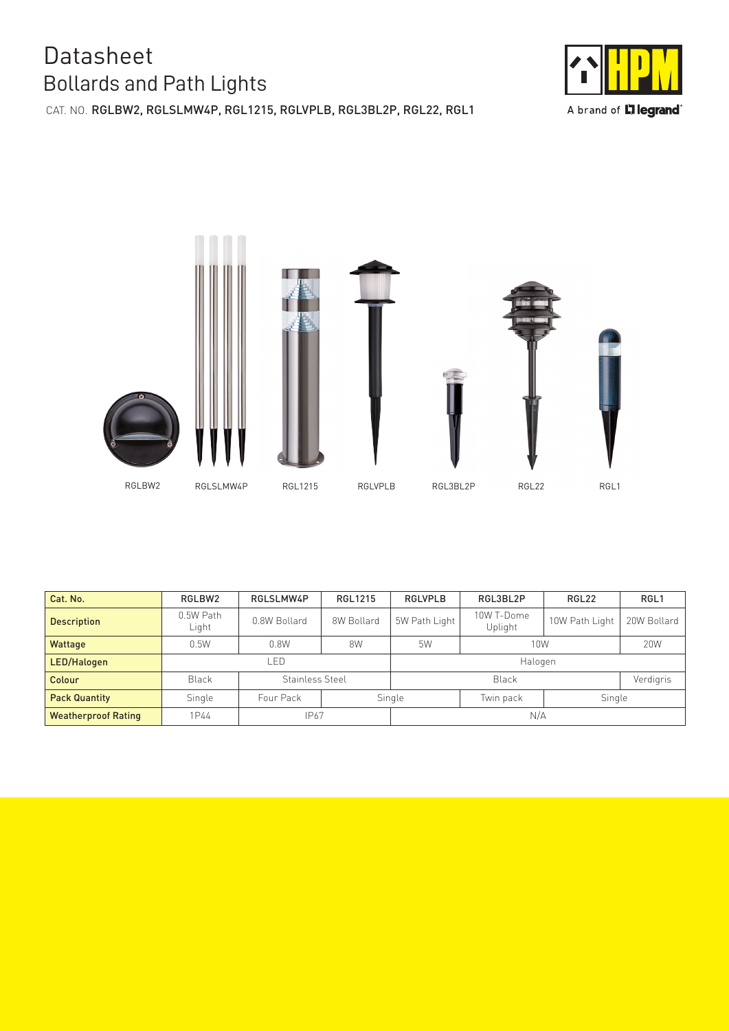## Bollards and Path Lights **Datasheet**

CAT. NO. RGLBW2, RGLSLMW4P, RGL1215, RGLVPLB, RGL3BL2P, RGL22, RGL1



A brand of **L'ilegrand**®



| Cat. No.                   | RGLBW2               | RGLSLMW4P       | RGL1215    | <b>RGLVPLB</b>                | RGL3BL2P              | RGL22          | RGL <sub>1</sub> |
|----------------------------|----------------------|-----------------|------------|-------------------------------|-----------------------|----------------|------------------|
| <b>Description</b>         | $0.5W$ Path<br>Light | 0.8W Bollard    | 8W Bollard | 5W Path Light                 | 10W T-Dome<br>Uplight | 10W Path Light | 20W Bollard      |
| Wattage                    | 0.5W                 | 0.8W            | 8W         | 5W                            | 10W                   |                | 20W              |
| LED/Halogen                | _ED                  |                 | Halogen    |                               |                       |                |                  |
| Colour                     | <b>Black</b>         | Stainless Steel |            | <b>Black</b>                  |                       |                | Verdigris        |
| <b>Pack Quantity</b>       | Single               | Four Pack       |            | Single<br>Single<br>Twin pack |                       |                |                  |
| <b>Weatherproof Rating</b> | 1P44                 | IP67            |            | N/A                           |                       |                |                  |